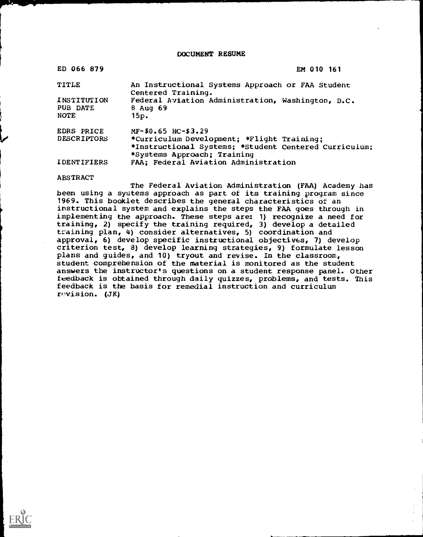DOCUMENT RESUME

| ED 066 879         | EM 010 161                                                             |
|--------------------|------------------------------------------------------------------------|
| <b>TITLE</b>       | An Instructional Systems Approach or FAA Student<br>Centered Training. |
| INSTITUTION        | Federal Aviation Administration, Washington, D.C.                      |
| PUB DATE           | $8$ Aug 69                                                             |
| <b>NOTE</b>        | 15p.                                                                   |
| <b>EDRS PRICE</b>  | $MF-$0.65$ HC-\$3.29                                                   |
| <b>DESCRIPTORS</b> | *Curriculum Development; *Flight Training:                             |
|                    | *Instructional Systems; *Student Centered Curriculum;                  |
|                    | *Systems Approach; Training                                            |
| <b>IDENTIFIERS</b> | FAA: Federal Aviation Administration                                   |
|                    |                                                                        |

**ABSTRACT** 

The Federal Aviation Administration (FAA) Academy has been using a systems approach as part of its training program since 1969. This booklet describes the general characteristics of an instructional system and explains the steps the FAA goes through in implementing the approach. These steps are: 1) recognize a need for training, 2) specify the training required, 3) develop a detailed training plan, 4) consider alternatives, 5) coordination and approval, 6) develop specific instructional objectives, 7) develop criterion test, 8) develop learning strategies, 9) formulate lesson plans and guides, and 10) tryout and revise. In the classroom, student comprehension of the material is monitored as the student answers the instructor's questions on a student response panel. Other feedback is obtained through daily quizzes, problems, and tests. This feedback is the basis for remedial instruction and curriculum revision. (JK)

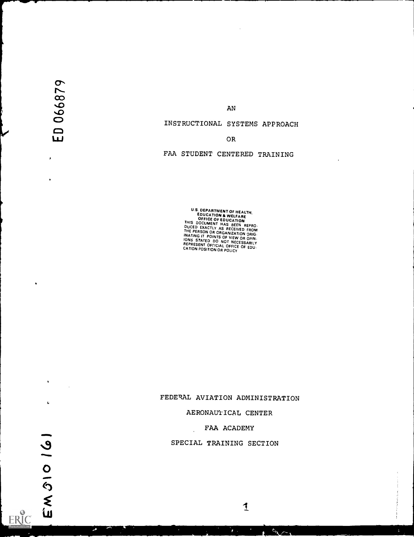$\mathbf{C}$  $\sum$  $\infty$  and  $\infty$  $\overline{\mathbf{v}}$ 

AN

## INSTRUCTIONAL SYSTEMS APPROACH

## LLJ OR

# FAA STUDENT CENTERED TRAINING

**EDUCATION & WELFALTH,<br>
EDUCATION & WELFARE<br>
OFFICE OF EDUCATION<br>
THIS DOCUMENT HAS BEEN REPRO.<br>
DUCED EXACTLY AS RECEIVED FROM<br>
THE PERSON OR ORGANIZATION ORIG.<br>
INATING IT POINTS OF VIEW OR OPIN.<br>
INATING IT POINTS OF VI** 

# FEDERAL AVIATION ADMINISTRATION

### AERONAUTICAL CENTER

### FAA ACADEMY

1

 $\frac{1}{\sqrt{2}}$ 

### SPECIAL TRAINING SECTION

 $\mathbf{r}$ 

ERIC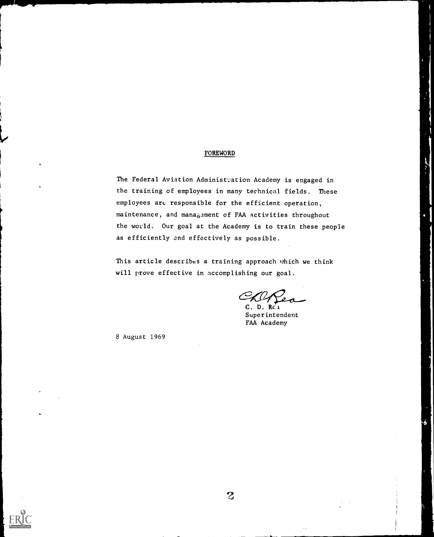#### **FOREWORD**

The Federal Aviation Administration Academy is engaged in the training of employees in many technical fields. These employees are responsible for the efficient operation, maintenance, and mana $63$ ament of FAA activities throughout the world. Our goal at the Academy is to train these people as efficiently and effectively as possible.

This article describes a training approach which we think will prove effective in accomplishing our goal.

D. Rei Superintendent FAA Academy

8 August 1969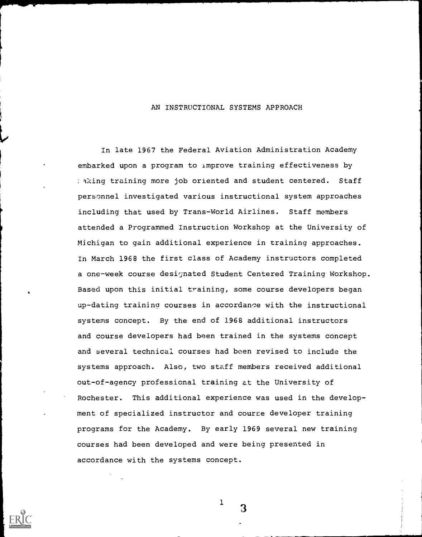#### AN INSTRUCTIONAL SYSTEMS APPROACH

In late 1967 the Federal Aviation Administration Academy embarked upon a program to improve training effectiveness by : aking training more job oriented and student centered. Staff personnel investigated various instructional system approaches including that used by Trans-World Airlines. Staff members attended a Programmed Instruction Workshop at the University of Michigan to gain additional experience in training approaches. In March 1968 the first class of Academy instructors completed a one-week course designated Student Centered Training Workshop. Based upon this initial training, some course developers began up-dating training courses in accordance with the instructional systems concept. By the end of 1968 additional instructors and course developers had been trained in the systems concept and several technical courses had been revised to include the systems approach. Also, two staff members received additional out-of-agency professional training at the University of Rochester. This additional experience was used in the development of specialized instructor and course developer training programs for the Academy. By early 1969 several new training courses had been developed and were being presented in accordance with the systems concept.



3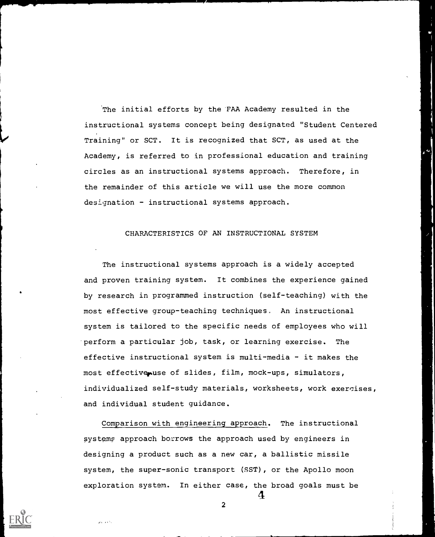The initial efforts by the FAA Academy resulted in the instructional systems concept being designated "Student Centered Training" or SCT. It is recognized that SCT, as used at the Academy, is referred to in professional education and training circles as an instructional systems approach. Therefore, in the remainder of this article we will use the more common designation - instructional systems approach.

#### CHARACTERISTICS OF AN INSTRUCTIONAL SYSTEM

The instructional systems approach is a widely accepted and proven training system. It combines the experience gained by research in programmed instruction (self-teaching) with the most effective group-teaching techniques. An instructional system is tailored to the specific needs of employees who will 'perform a particular job, task, or learning exercise. The effective instructional system is multi-media - it makes the most effectivenuse of slides, film, mock-ups, simulators, individualized self-study materials, worksheets, work exercises, and individual student guidance.

Comparison with engineering approach. The instructional systems approach borrows the approach used by engineers in designing a product such as a new car, a ballistic missile system, the super-sonic transport (SST), or the Apollo moon exploration system. In either case, the broad goals must be 4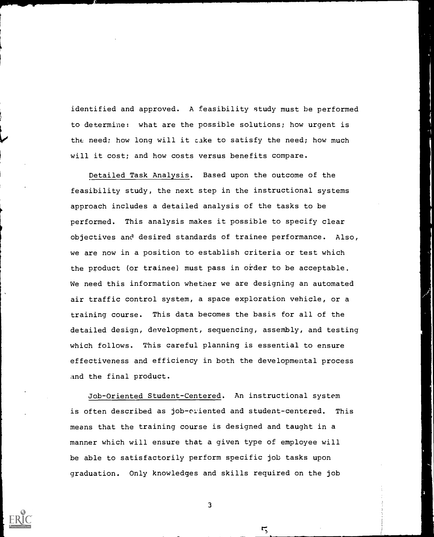identified and approved. A feasibility study must be performed to determine: what are the possible solutions; how urgent is the need; how long will it cake to satisfy the need; how much will it cost; and how costs versus benefits compare.

Detailed Task Analysis. Based upon the outcome of the feasibility study, the next step in the instructional systems approach includes a detailed analysis of the tasks to be performed. This analysis makes it possible to specify clear objectives and desired standards of trainee performance. Also, we are now in a position to establish criteria or test which the product (or trainee) must pass in order to be acceptable. We need this information whether we are designing an automated air traffic control system, a space exploration vehicle, or a training course. This data becomes the basis for all of the detailed design, development, sequencing, assembly, and testing which follows. This careful planning is essential to ensure effectiveness and efficiency in both the developmental process and the final product.

Job-Oriented Student-Centered. An instructional system is often described as job-oriented and student-centered. This means that the training course is designed and taught in a manner which will ensure that a given type of employee will be able to satisfactorily perform specific job tasks upon graduation. Only knowledges and skills required on the job



3

 $\mathbf{r}$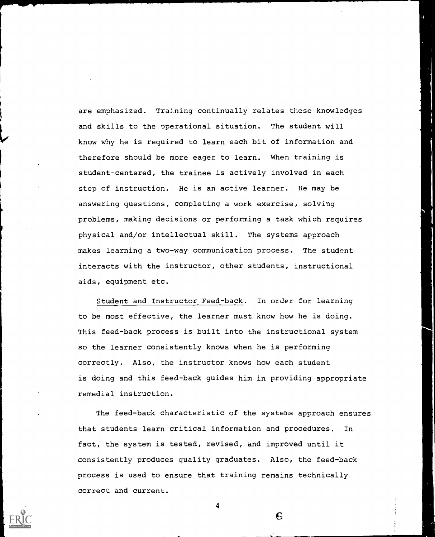are emphasized. Training continually relates these knowledges and skills to the operational situation. The student will know why he is required to learn each bit of information and therefore should be more eager to learn. When training is student-centered, the trainee is actively involved in each step of instruction. He is an active learner. He may be answering questions, completing a work exercise, solving problems, making decisions or performing a task which requires physical and/or intellectual skill. The systems approach makes learning a two-way communication process. The student interacts with the instructor, other students, instructional aids, equipment etc.

Student and Instructor Feed-back. In order for learning to be most effective, the learner must know how he is doing. This feed-back process is built into the instructional system so the learner consistently knows when he is performing correctly. Also, the instructor knows how each student is doing and this feed-back guides him in providing appropriate remedial instruction.

The feed-back characteristic of the systems approach ensures that students learn critical information and procedures. In fact, the system is tested, revised, and improved until it consistently produces quality graduates. Also, the feed-back process is used to ensure that training remains technically correct and current.

4

 $\mathbf 6$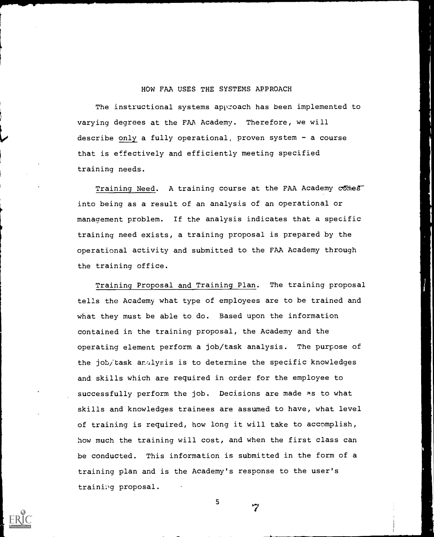#### HOW FAA USES THE SYSTEMS APPROACH

The instructional systems approach has been implemented to varying degrees at the FAA Academy. Therefore, we will describe only a fully operational, proven system - a course that is effectively and efficiently meeting specified training needs.

Training Need. A training course at the FAA Academy  $c\overline{o}$  mes<sup>-</sup> into being as a result of an analysis of an operational or management problem. If the analysis indicates that a specific training need exists, a training proposal is prepared by the operational activity and submitted to the FAA Academy through the training office.

Training Proposal and Training Plan. The training proposal tells the Academy what type of employees are to be trained and what they must be able to do. Based upon the information contained in the training proposal, the Academy and the operating element perform a job/task analysis. The purpose of the job/task analysis is to determine the specific knowledges and skills which are required in order for the employee to successfully perform the job. Decisions are made as to what skills and knowledges trainees are assumed to have, what level of training is required, how long it will take to accomplish, how much the training will cost, and when the first class can be conducted. This information is submitted in the form of a training plan and is the Academy's response to the user's training proposal.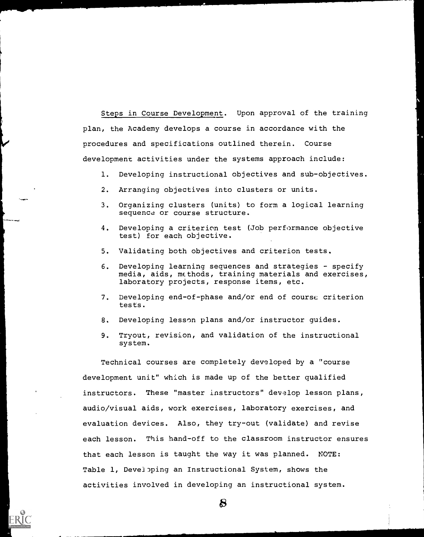Steps in Course Development. Upon approval of the training plan, the Academy develops a course in accordance with the procedures and specifications outlined therein. Course development activities under the systems approach include:

- 1. Developing instructional objectives and sub-objectives.
- 2. Arranging objectives into clusters or units.
- 3. Organizing clusters (units) to form a logical learning sequence or course structure.
- 4. Developing a criterion test (Job performance objective test) for each objective.
- 5. Validating both objectives and criterion tests.
- 6. Developing learning sequences and strategies specify media, aids, methods, training materials and exercises, laboratory projects, response items, etc.
- 7. Developing end-of-phase and/or end of course criterion tests.
- 8. Developing lesson plans and/or instructor guides.
- 9. Tryout, revision, and validation of the instructional system.

Technical courses are completely developed by a "course development unit" which is made up of the better qualified instructors. These "master instructors" develop lesson plans, audio/visual aids, work exercises, laboratory exercises, and evaluation devices. Also, they try-out (validate) and revise each lesson. This hand-off to the classroom instructor ensures that each lesson is taught the way it was planned. NOTE: Table 1, Developing an Instructional System, shows the activities involved in developing an instructional system.

 $\bf{S}$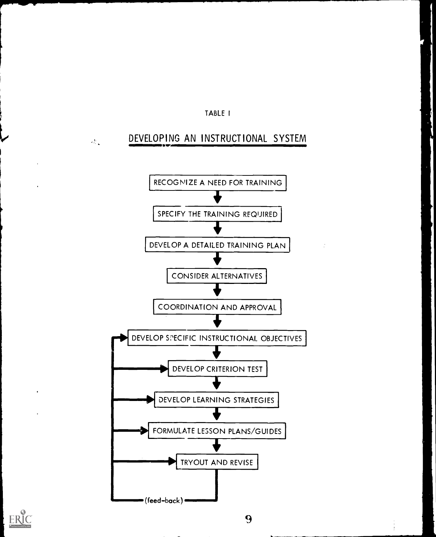

# DEVELOPING AN INSTRUCTIONAL SYSTEM

 $\sigma_{\rm N, k}^{\rm 3D}$ 



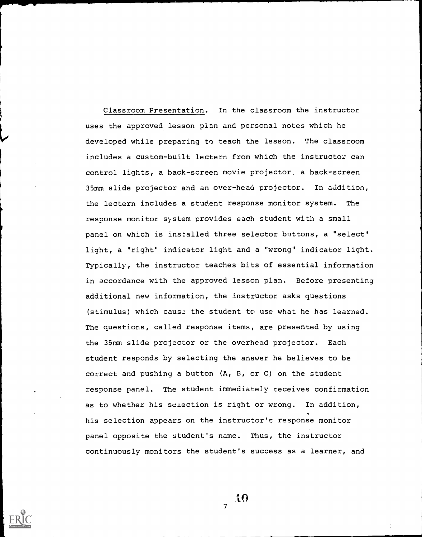Classroom Presentation. In the classroom the instructor uses the approved lesson plan and personal notes which he developed while preparing to teach the lesson. The classroom includes a custom-built lectern from which the instructor can control lights, a back-screen movie projector, a back-screen 35mm slide projector and an over-head projector. In addition, the lectern includes a student response monitor system. The response monitor system provides each student with a small panel on which is installed three selector buttons, a "select" light, a "right" indicator light and a "wrong" indicator light. Typically, the instructor teaches bits of essential information in accordance with the approved lesson plan. Before presenting additional new information, the instructor asks questions (stimulus) which caus. the student to use what he has learned. The questions, called response items, are presented by using the 35mm slide projector or the overhead projector. Each student responds by selecting the answer he believes to be correct and pushing a button (A, B, or C) on the student response panel. The student immediately receives confirmation as to whether his selection is right or wrong. In addition, his selection appears on the instructor's response monitor panel opposite the student's name. Thus, the instructor continuously monitors the student's success as a learner, and



 $\bf{10}$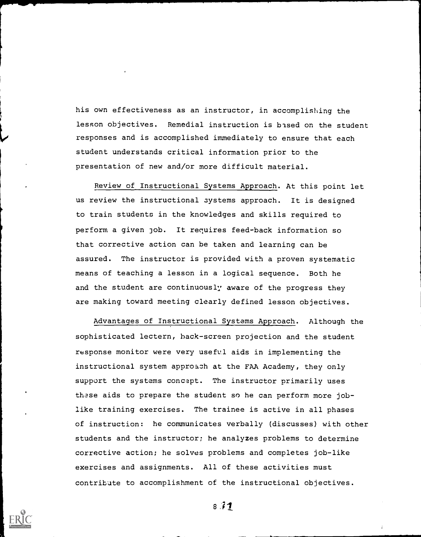his own effectiveness as an instructor, in accomplishing the lesson objectives. Remedial instruction is based on the student responses and is accomplished immediately to ensure that each student understands critical information prior to the presentation of new and/or more difficult material.

Review of Instructional Systems Approach. At this point let us review the instructional systems approach. It is designed to train students in the knowledges and skills required to perform a given job. It requires feed-back information so that corrective action can be taken and learning can be assured. The instructor is provided with a proven systematic means of teaching a lesson in a logical sequence. Both he and the student are continuously aware of the progress they are making toward meeting clearly defined lesson objectives.

Advantages of Instructional Systems Approach. Although the sophisticated lectern, hack-screen projection and the student response monitor were very useful aids in implementing the instructional system approach at the FAA Academy, they only support the systems concept. The instructor primarily uses these aids to prepare the student so he can perform more joblike training exercises. The trainee is active in all phases of instruction: he communicates verbally (discusses) with other students and the instructor; he analyzes problems to determine corrective action; he solves problems and completes job-like exercises and assignments. All of these activities must contribute to accomplishment of the instructional objectives.



 $8.77$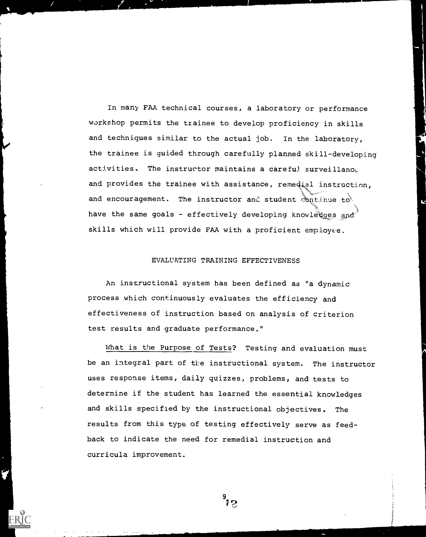In many FAA technical courses, a laboratory or performance workshop permits the trainee to develop proficiency in skills and techniques similar to the actual job. In the laboratory, the trainee is guided through carefully planned skill-developing activities. The instructor maintains a careful surveillance and provides the trainee with assistance, remedial instruction, and encouragement. The instructor and student continue to have the same goals - effectively developing knowle ges and skills which will provide FAA with a proficient employee.

#### EVALUATING TRAINING EFFECTIVENESS

An instructional system has been defined as "a dynamic process which continuously evaluates the efficiency and effectiveness of instruction based on analysis of criterion test results and graduate performance."

What is the Purpose of Tests? Testing and evaluation must be an integral part of the instructional system. The instructor uses response items, daily quizzes, problems, and tests to determine if the student has learned the essential knowledges and skills specified by the instructional objectives. The results from this type of testing effectively serve as feedback to indicate the need for remedial instruction and curricula improvement.

 $\frac{9}{12}$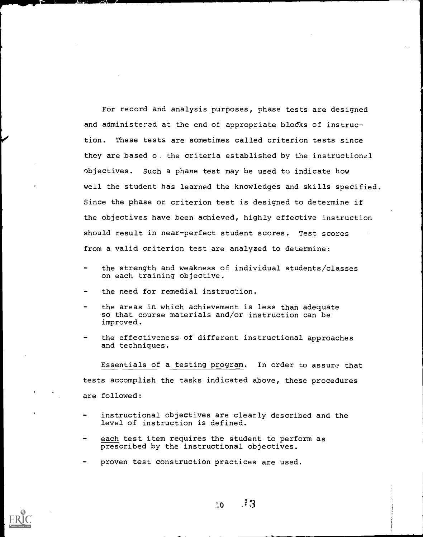For record and analysis purposes, phase tests are designed and administered at the end of appropriate blocks of instruction. These tests are sometimes called criterion tests since they are based o. the criteria established by the instructional objectives. Such a phase test may be used to indicate how well the student has learned the knowledges and skills specified. Since the phase or criterion test is designed to determine if the objectives have been achieved, highly effective instruction should result in near-perfect student scores. Test scores from a valid criterion test are analyzed to determine:

- the strength and weakness of individual students/classes on each training objective.
- the need for remedial instruction.
- the areas in which achievement is less than adequate so that course materials and/or instruction can be improved.
- the effectiveness of different instructional approaches and techniques.

Essentials of a testing program. In order to assure that tests accomplish the tasks indicated above, these procedures are followed:

- instructional objectives are clearly described and the level of instruction is defined.
- each test item requires the student to perform as prescribed by the instructional objectives.
- proven test construction practices are used.



 $70 \pm 3$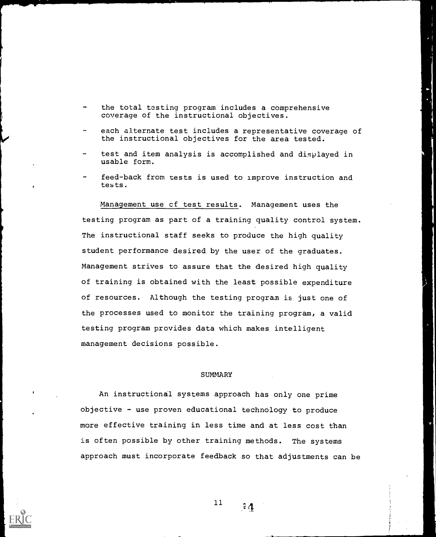- the total testing program includes a comprehensive coverage of the instructional objectives.
- each alternate test includes a representative coverage of the instructional objectives for the area tested.
- test and item analysis is accomplished and displayed in usable form.
- feed-back from tests is used to improve instruction and tests.

Management use cf test results. Management uses the testing program as part of a training quality control system. The instructional staff seeks to produce the high quality student performance desired by the user of the graduates. Management strives to assure that the desired high quality of training is obtained with the least possible expenditure of resources. Although the testing program is just one of the processes used to monitor the training program, a valid testing program provides data which makes intelligent management decisions possible.

#### **SUMMARY**

An instructional systems approach has only one prime objective - use proven educational technology to produce more effective training in less time and at less cost than is often possible by other training methods. The systems approach must incorporate feedback so that adjustments can be